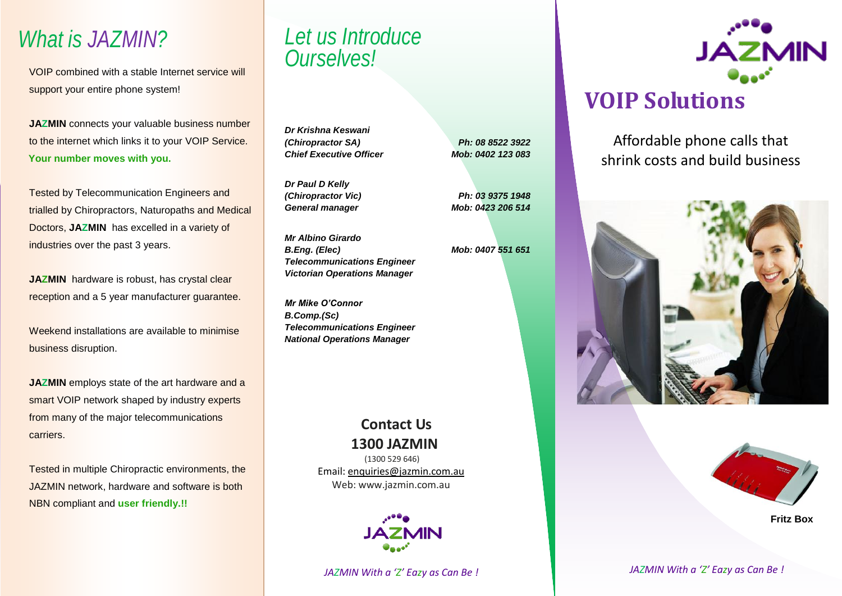## *What is JAZMIN?*

VOIP combined with a stable Internet service will support your entire phone system!

**JAZMIN** connects your valuable business number to the internet which links it to your VOIP Service. **Your number moves with you.**

**Tested by Telecommunication Engineers and** trialled by Chiropractors, Naturopaths and Medical Doctors, **JAZMIN** has excelled in a variety of industries over the past 3 years.

**JAZMIN** hardware is robust, has crystal clear reception and a 5 year manufacturer guarantee.

Weekend installations are available to minimise business disruption.

**JAZMIN** employs state of the art hardware and a smart VOIP network shaped by industry experts from many of the major telecommunications carriers.

Tested in multiple Chiropractic environments, the JAZMIN network, hardware and software is both NBN compliant and **user friendly.!!**

## *Let us Introduce Ourselves!*

*Dr Krishna Keswani (Chiropractor SA) Chief Executive Officer*

*Dr Paul D Kelly (Chiropractor Vic) General manager*

*Mr Albino Girardo B.Eng. (Elec) Telecommunications Engineer Victorian Operations Manager*

*Mr Mike O'Connor B.Comp.(Sc) Telecommunications Engineer National Operations Manager*

> **Contact Us 1300 JAZMIN**

*Ph: 08 8522 3922 Mob: 0402 123 083*

*Ph: 03 9375 1948 Mob: 0423 206 514*

*Mob: 0407 551 651*

(1300 529 646) Email: [enquiries@jazmin.com.au](mailto:enquiries@jazmin.com.au) Web: www.jazmin.com.au

*JAZMIN With a 'Z' Eazy as Can Be !*



Affordable phone calls that shrink costs and build business





**Fritz Box**

 *JAZMIN With a 'Z' Eazy as Can Be !*